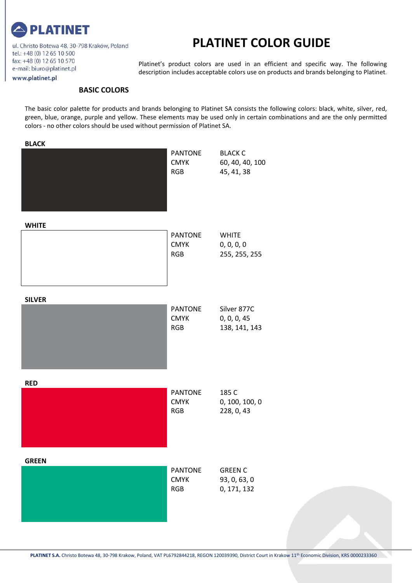

ul. Christo Botewa 48, 30-798 Kraków, Poland tel.: +48 (0) 12 65 10 500 fax: +48 (0) 12 65 10 570 e-mail: biuro@platinet.pl www.platinet.pl

#### **PLATINET COLOR GUIDE**

Platinet's product colors are used in an efficient and specific way. The following description includes acceptable colors use on products and brands belonging to Platinet.

#### **BASIC COLORS**

The basic color palette for products and brands belonging to Platinet SA consists the following colors: black, white, silver, red, green, blue, orange, purple and yellow. These elements may be used only in certain combinations and are the only permitted colors - no other colors should be used without permission of Platinet SA.

| <b>BLACK</b>  | <b>PANTONE</b><br><b>CMYK</b><br><b>RGB</b> | <b>BLACK C</b><br>60, 40, 40, 100<br>45, 41, 38 |
|---------------|---------------------------------------------|-------------------------------------------------|
| <b>WHITE</b>  | <b>PANTONE</b><br><b>CMYK</b><br><b>RGB</b> | <b>WHITE</b><br>0, 0, 0, 0<br>255, 255, 255     |
| <b>SILVER</b> | <b>PANTONE</b><br><b>CMYK</b><br><b>RGB</b> | Silver 877C<br>0, 0, 0, 45<br>138, 141, 143     |
| <b>RED</b>    | PANTONE<br><b>CMYK</b><br><b>RGB</b>        | 185 C<br>0, 100, 100, 0<br>228, 0, 43           |
| <b>GREEN</b>  | <b>PANTONE</b><br><b>CMYK</b><br><b>RGB</b> | <b>GREEN C</b><br>93, 0, 63, 0<br>0, 171, 132   |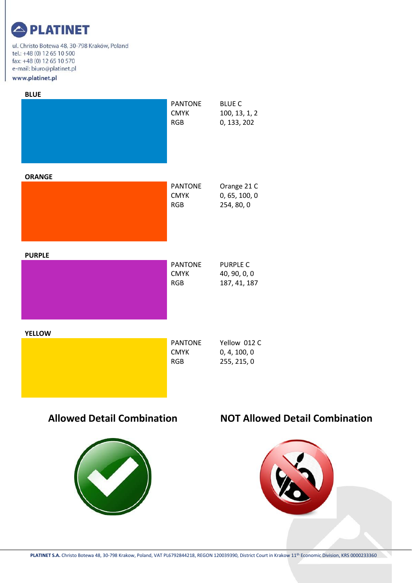ul. Christo Botewa 48, 30-798 Kraków, Poland tel.: +48 (0) 12 65 10 500 fax: +48 (0) 12 65 10 570 e-mail: biuro@platinet.pl www.platinet.pl

| <b>BLUE</b>   |                                             |                                                 |
|---------------|---------------------------------------------|-------------------------------------------------|
|               | <b>PANTONE</b><br><b>CMYK</b><br><b>RGB</b> | <b>BLUE C</b><br>100, 13, 1, 2<br>0, 133, 202   |
| <b>ORANGE</b> |                                             |                                                 |
|               | <b>PANTONE</b><br><b>CMYK</b><br><b>RGB</b> | Orange 21 C<br>0, 65, 100, 0<br>254, 80, 0      |
| <b>PURPLE</b> |                                             |                                                 |
|               | <b>PANTONE</b><br><b>CMYK</b><br><b>RGB</b> | <b>PURPLE C</b><br>40, 90, 0, 0<br>187, 41, 187 |
| <b>YELLOW</b> |                                             |                                                 |
|               | <b>PANTONE</b><br><b>CMYK</b><br><b>RGB</b> | Yellow 012 C<br>0, 4, 100, 0<br>255, 215, 0     |



#### **Allowed Detail Combination NOT Allowed Detail Combination**

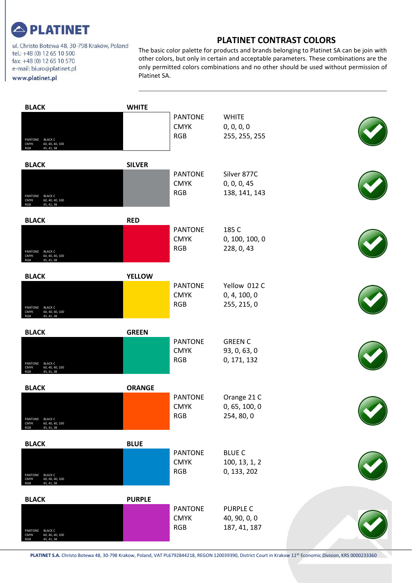

ul. Christo Botewa 48, 30-798 Kraków, Poland tel.: +48 (0) 12 65 10 500 fax: +48 (0) 12 65 10 570 e-mail: biuro@platinet.pl www.platinet.pl

#### **PLATINET CONTRAST COLORS**

The basic color palette for products and brands belonging to Platinet SA can be join with other colors, but only in certain and acceptable parameters. These combinations are the only permitted colors combinations and no other should be used without permission of Platinet SA.

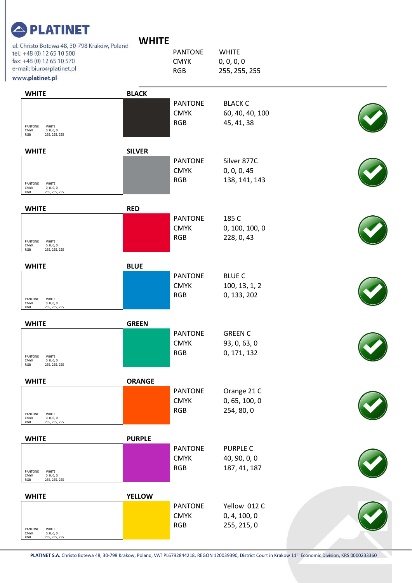| <b>PLATINET</b> |
|-----------------|
|-----------------|

| VН<br>ı<br>L |  |
|--------------|--|
|--------------|--|

| ul. Christo Botewa 48, 30-798 Kraków, Poland<br>tel.: +48 (0) 12 65 10 500<br>fax: +48 (0) 12 65 10 570 | <b>VVIIIIL</b> | <b>PANTONE</b><br><b>CMYK</b>               | <b>WHITE</b><br>0, 0, 0, 0                      |  |
|---------------------------------------------------------------------------------------------------------|----------------|---------------------------------------------|-------------------------------------------------|--|
| e-mail: biuro@platinet.pl<br>www.platinet.pl                                                            |                | <b>RGB</b>                                  | 255, 255, 255                                   |  |
|                                                                                                         |                |                                             |                                                 |  |
| <b>WHITE</b><br>PANTONE<br>WHITE<br>CMYK<br>0, 0, 0, 0<br>255, 255, 255<br>RGB                          | <b>BLACK</b>   | <b>PANTONE</b><br><b>CMYK</b><br><b>RGB</b> | <b>BLACK C</b><br>60, 40, 40, 100<br>45, 41, 38 |  |
| <b>WHITE</b>                                                                                            | <b>SILVER</b>  |                                             |                                                 |  |
| PANTONE<br>WHITE<br>CMYK<br>0, 0, 0, 0<br>255, 255, 255<br>RGB                                          |                | <b>PANTONE</b><br><b>CMYK</b><br><b>RGB</b> | Silver 877C<br>0, 0, 0, 45<br>138, 141, 143     |  |
| <b>WHITE</b>                                                                                            | <b>RED</b>     |                                             |                                                 |  |
| PANTONE<br>WHITE<br><b>CMYK</b><br>0, 0, 0, 0<br>RGB<br>255, 255, 255                                   |                | <b>PANTONE</b><br><b>CMYK</b><br><b>RGB</b> | 185 C<br>0, 100, 100, 0<br>228, 0, 43           |  |
| <b>WHITE</b>                                                                                            | <b>BLUE</b>    |                                             |                                                 |  |
| PANTONE<br>WHITE<br>CMYK<br>0, 0, 0, 0<br>255, 255, 255<br>RGB                                          |                | <b>PANTONE</b><br><b>CMYK</b><br><b>RGB</b> | <b>BLUE C</b><br>100, 13, 1, 2<br>0, 133, 202   |  |
| <b>WHITE</b>                                                                                            | <b>GREEN</b>   |                                             |                                                 |  |
| PANTONE<br>WHITE<br>CMYK<br>0, 0, 0, 0<br>RGB<br>255, 255, 255                                          |                | <b>PANTONE</b><br><b>CMYK</b><br><b>RGB</b> | <b>GREEN C</b><br>93, 0, 63, 0<br>0, 171, 132   |  |
| <b>WHITE</b>                                                                                            | <b>ORANGE</b>  |                                             |                                                 |  |
| PANTONE<br>WHITE<br>CMYK<br>0, 0, 0, 0<br>$_{\rm RGB}$<br>255, 255, 255                                 |                | <b>PANTONE</b><br><b>CMYK</b><br><b>RGB</b> | Orange 21 C<br>0, 65, 100, 0<br>254, 80, 0      |  |
| <b>WHITE</b>                                                                                            | <b>PURPLE</b>  |                                             |                                                 |  |
| PANTONE<br>WHITE<br>CMYK<br>0, 0, 0, 0<br>$_{\rm RGB}$<br>255, 255, 255                                 |                | <b>PANTONE</b><br><b>CMYK</b><br><b>RGB</b> | <b>PURPLE C</b><br>40, 90, 0, 0<br>187, 41, 187 |  |
| <b>WHITE</b>                                                                                            | <b>YELLOW</b>  |                                             |                                                 |  |
| PANTONE<br>WHITE<br>CMYK<br>0, 0, 0, 0<br>RGB<br>255, 255, 255                                          |                | <b>PANTONE</b><br><b>CMYK</b><br><b>RGB</b> | Yellow 012 C<br>0, 4, 100, 0<br>255, 215, 0     |  |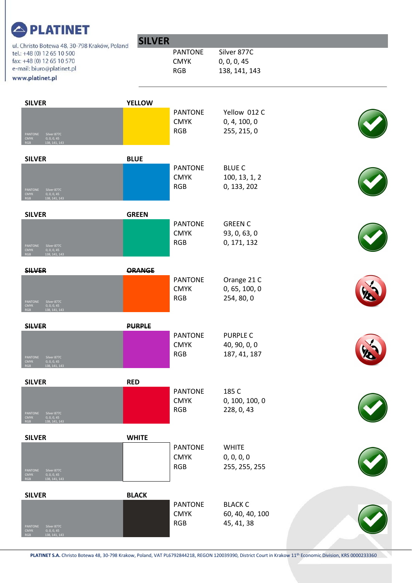| . <i>. .</i><br>ul. Christo Botewa 48, 30-798 Kraków, Poland                        | <b>SILVER</b> |                               |                                 |              |
|-------------------------------------------------------------------------------------|---------------|-------------------------------|---------------------------------|--------------|
| tel.: +48 (0) 12 65 10 500                                                          |               | <b>PANTONE</b>                | Silver 877C                     |              |
| fax: +48 (0) 12 65 10 570<br>e-mail: biuro@platinet.pl                              |               | <b>CMYK</b>                   | 0, 0, 0, 45                     |              |
| www.platinet.pl                                                                     |               | <b>RGB</b>                    | 138, 141, 143                   |              |
|                                                                                     |               |                               |                                 |              |
| <b>SILVER</b>                                                                       | <b>YELLOW</b> |                               |                                 |              |
|                                                                                     |               | <b>PANTONE</b>                | Yellow 012 C                    |              |
|                                                                                     |               | <b>CMYK</b>                   | 0, 4, 100, 0                    |              |
| PANTONE                                                                             |               | <b>RGB</b>                    | 255, 215, 0                     |              |
| Silver 877C<br>0, 0, 0, 45<br>138, 141, 143<br>CMYK<br>RGB                          |               |                               |                                 |              |
| <b>SILVER</b>                                                                       | <b>BLUE</b>   |                               |                                 |              |
|                                                                                     |               | <b>PANTONE</b>                | <b>BLUE C</b>                   |              |
|                                                                                     |               | <b>CMYK</b>                   | 100, 13, 1, 2                   |              |
| PANTONE<br>Silver 877C                                                              |               | <b>RGB</b>                    | 0, 133, 202                     |              |
| <b>CMYK</b><br>0, 0, 0, 45<br><b>RGB</b><br>138, 141, 143                           |               |                               |                                 |              |
| <b>SILVER</b>                                                                       | <b>GREEN</b>  |                               |                                 |              |
|                                                                                     |               | <b>PANTONE</b>                | <b>GREEN C</b>                  |              |
|                                                                                     |               | <b>CMYK</b>                   | 93, 0, 63, 0                    |              |
| Silver 877C<br>PANTONE<br><b>CMYK</b><br>0, 0, 0, 45                                |               | <b>RGB</b>                    | 0, 171, 132                     |              |
| 138, 141, 143                                                                       |               |                               |                                 |              |
| <b>SILVER</b>                                                                       | <b>ORANGE</b> |                               |                                 |              |
|                                                                                     |               | <b>PANTONE</b>                | Orange 21 C                     |              |
|                                                                                     |               | <b>CMYK</b>                   | 0, 65, 100, 0                   |              |
| PANTONE<br>Silver 877C<br><b>CMYK</b><br>0, 0, 0, 45                                |               | <b>RGB</b>                    | 254, 80, 0                      |              |
| <b>RGB</b><br>138, 141, 143                                                         |               |                               |                                 |              |
| <b>SILVER</b>                                                                       | <b>PURPLE</b> |                               |                                 |              |
|                                                                                     |               | <b>PANTONE</b><br><b>CMYK</b> | <b>PURPLE C</b><br>40, 90, 0, 0 | $\checkmark$ |
|                                                                                     |               | <b>RGB</b>                    | 187, 41, 187                    |              |
| Silver 877C<br>PANTONE<br><b>CMYK</b><br>0, 0, 0, 45<br>138, 141, 143<br><b>RGB</b> |               |                               |                                 |              |
| <b>SILVER</b>                                                                       | <b>RED</b>    |                               |                                 |              |
|                                                                                     |               | <b>PANTONE</b>                | 185 C                           |              |
|                                                                                     |               | <b>CMYK</b>                   | 0, 100, 100, 0                  |              |
| PANTONE<br>Silver 877C                                                              |               | <b>RGB</b>                    | 228, 0, 43                      |              |
| CMYK<br>0, 0, 0, 45<br>138, 141, 143<br><b>RGB</b>                                  |               |                               |                                 |              |
| <b>SILVER</b>                                                                       | <b>WHITE</b>  |                               |                                 |              |
|                                                                                     |               | <b>PANTONE</b>                | <b>WHITE</b>                    |              |
|                                                                                     |               | <b>CMYK</b>                   | 0, 0, 0, 0                      |              |
| PANTONE<br>Silver 877C                                                              |               | <b>RGB</b>                    | 255, 255, 255                   |              |
| CMYK<br>RGB<br>0, 0, 0, 45<br>138, 141, 143                                         |               |                               |                                 |              |
| <b>SILVER</b>                                                                       | <b>BLACK</b>  |                               |                                 |              |
|                                                                                     |               | <b>PANTONE</b>                | <b>BLACK C</b>                  |              |
|                                                                                     |               | <b>CMYK</b>                   | 60, 40, 40, 100                 |              |
| PANTONE<br>Silver 877C<br><b>CMYK</b>                                               |               | <b>RGB</b>                    | 45, 41, 38                      |              |
| 0, 0, 0, 45<br>138, 141, 143<br><b>RGB</b>                                          |               |                               |                                 |              |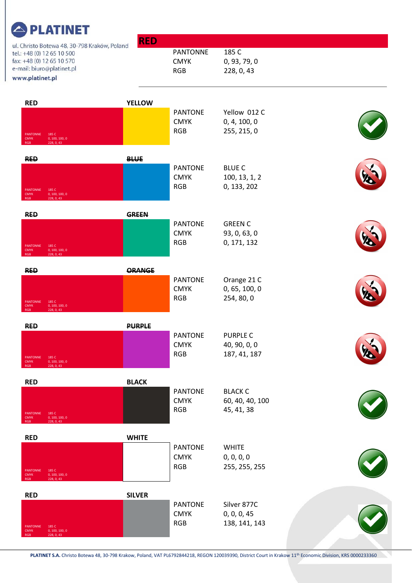| ul. Christo Botewa 48, 30-798 Kraków, Poland                                          | <b>RED</b>    |                                |                               |   |
|---------------------------------------------------------------------------------------|---------------|--------------------------------|-------------------------------|---|
| tel.: +48 (0) 12 65 10 500<br>fax: +48 (0) 12 65 10 570                               |               | <b>PANTONNE</b><br><b>CMYK</b> | 185 C<br>0, 93, 79, 0         |   |
| e-mail: biuro@platinet.pl                                                             |               | <b>RGB</b>                     | 228, 0, 43                    |   |
| www.platinet.pl                                                                       |               |                                |                               |   |
| <b>RED</b>                                                                            | <b>YELLOW</b> |                                |                               |   |
|                                                                                       |               | <b>PANTONE</b>                 | Yellow 012 C                  |   |
|                                                                                       |               | <b>CMYK</b><br><b>RGB</b>      | 0, 4, 100, 0<br>255, 215, 0   |   |
| 185 C<br><b>PANTONNE</b><br>0, 100, 100, 0<br><b>CMYK</b><br>228, 0, 43<br><b>RGB</b> |               |                                |                               |   |
| <b>RED</b>                                                                            | <b>BLUE</b>   |                                |                               |   |
|                                                                                       |               | <b>PANTONE</b>                 | <b>BLUE C</b>                 |   |
|                                                                                       |               | <b>CMYK</b><br><b>RGB</b>      | 100, 13, 1, 2<br>0, 133, 202  |   |
| PANTONNE<br>185 C<br><b>CMYK</b><br>0, 100, 100, 0<br>228, 0, 43<br><b>RGB</b>        |               |                                |                               |   |
| <b>RED</b>                                                                            | <b>GREEN</b>  |                                |                               |   |
|                                                                                       |               | <b>PANTONE</b>                 | <b>GREEN C</b>                |   |
|                                                                                       |               | <b>CMYK</b><br><b>RGB</b>      | 93, 0, 63, 0<br>0, 171, 132   |   |
| PANTONNE<br>185 C<br>0, 100, 100, 0<br><b>CMYK</b><br>228, 0, 43<br><b>RGB</b>        |               |                                |                               |   |
| <b>RED</b>                                                                            | ORANGE        |                                |                               |   |
|                                                                                       |               | <b>PANTONE</b>                 | Orange 21 C                   |   |
|                                                                                       |               | <b>CMYK</b>                    | 0, 65, 100, 0                 |   |
| PANTONNE<br>185 C<br>0, 100, 100, 0<br><b>CMYK</b><br>228, 0, 43<br><b>RGB</b>        |               | <b>RGB</b>                     | 254, 80, 0                    |   |
| <b>RED</b>                                                                            | <b>PURPLE</b> |                                |                               |   |
|                                                                                       |               | <b>PANTONE</b>                 | <b>PURPLE C</b>               |   |
|                                                                                       |               | <b>CMYK</b><br><b>RGB</b>      | 40, 90, 0, 0<br>187, 41, 187  | L |
| 185 C<br>PANTONNE<br><b>CMYK</b><br>0, 100, 100, 0<br>228, 0, 43<br><b>RGB</b>        |               |                                |                               |   |
| <b>RED</b>                                                                            | <b>BLACK</b>  |                                |                               |   |
|                                                                                       |               | <b>PANTONE</b>                 | <b>BLACK C</b>                |   |
|                                                                                       |               | <b>CMYK</b><br><b>RGB</b>      | 60, 40, 40, 100<br>45, 41, 38 |   |
| 185 C<br>PANTONNE<br><b>CMYK</b><br>0, 100, 100, 0<br>228, 0, 43<br><b>RGB</b>        |               |                                |                               |   |
| <b>RED</b>                                                                            | <b>WHITE</b>  |                                |                               |   |
|                                                                                       |               | <b>PANTONE</b>                 | <b>WHITE</b>                  |   |
|                                                                                       |               | <b>CMYK</b><br><b>RGB</b>      | 0, 0, 0, 0<br>255, 255, 255   |   |
| PANTONNE<br>185 C<br><b>CMYK</b><br>0, 100, 100, 0<br><b>RGB</b><br>228, 0, 43        |               |                                |                               |   |
| <b>RED</b>                                                                            | <b>SILVER</b> |                                |                               |   |
|                                                                                       |               | <b>PANTONE</b>                 | Silver 877C                   |   |
|                                                                                       |               | <b>CMYK</b><br><b>RGB</b>      | 0, 0, 0, 45<br>138, 141, 143  |   |
| 185 C<br>PANTONNE<br>0, 100, 100, 0<br><b>CMYK</b><br>228, 0, 43<br><b>RGB</b>        |               |                                |                               |   |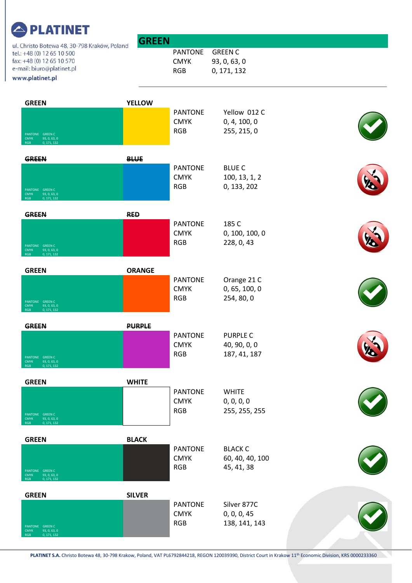| _________<br>ul. Christo Botewa 48, 30-798 Kraków, Poland                                               | <b>GREEN</b>  |                                             |                                                 |    |
|---------------------------------------------------------------------------------------------------------|---------------|---------------------------------------------|-------------------------------------------------|----|
| tel.: +48 (0) 12 65 10 500<br>fax: +48 (0) 12 65 10 570<br>e-mail: biuro@platinet.pl<br>www.platinet.pl |               | <b>PANTONE</b><br><b>CMYK</b><br><b>RGB</b> | <b>GREEN C</b><br>93, 0, 63, 0<br>0, 171, 132   |    |
| <b>GREEN</b><br>PANTONE GREEN C<br>93, 0, 63, 0<br><b>CMYK</b><br>0, 171, 132<br>RGB                    | <b>YELLOW</b> | <b>PANTONE</b><br><b>CMYK</b><br><b>RGB</b> | Yellow 012 C<br>0, 4, 100, 0<br>255, 215, 0     |    |
| <b>GREEN</b><br>PANTONE GREEN C<br><b>CMYK</b><br>93, 0, 63, 0<br>0, 171, 132<br><b>RGB</b>             | <b>BLUE</b>   | <b>PANTONE</b><br><b>CMYK</b><br><b>RGB</b> | <b>BLUE C</b><br>100, 13, 1, 2<br>0, 133, 202   |    |
| <b>GREEN</b><br>PANTONE GREEN C<br><b>CMYK</b><br>93, 0, 63, 0<br>0, 171, 132<br><b>RGB</b>             | <b>RED</b>    | <b>PANTONE</b><br><b>CMYK</b><br><b>RGB</b> | 185 C<br>0, 100, 100, 0<br>228, 0, 43           |    |
| <b>GREEN</b><br>PANTONE GREEN C<br><b>CMYK</b><br>93, 0, 63, 0<br>0, 171, 132<br><b>RGB</b>             | <b>ORANGE</b> | <b>PANTONE</b><br><b>CMYK</b><br><b>RGB</b> | Orange 21 C<br>0, 65, 100, 0<br>254, 80, 0      |    |
| <b>GREEN</b><br>PANTONE GREEN C<br>93, 0, 63, 0<br><b>CMYK</b><br>0, 171, 132<br><b>RGB</b>             | <b>PURPLE</b> | <b>PANTONE</b><br><b>CMYK</b><br><b>RGB</b> | <b>PURPLE C</b><br>40, 90, 0, 0<br>187, 41, 187 | Vo |
| <b>GREEN</b><br>PANTONE GREEN C<br>93, 0, 63, 0<br><b>CMYK</b><br>RGB<br>0, 171, 132                    | <b>WHITE</b>  | <b>PANTONE</b><br><b>CMYK</b><br><b>RGB</b> | <b>WHITE</b><br>0, 0, 0, 0<br>255, 255, 255     |    |
| <b>GREEN</b><br>PANTONE GREEN C<br>93, 0, 63, 0<br><b>CMYK</b><br>0, 171, 132<br>RGB                    | <b>BLACK</b>  | <b>PANTONE</b><br><b>CMYK</b><br><b>RGB</b> | <b>BLACK C</b><br>60, 40, 40, 100<br>45, 41, 38 |    |
| <b>GREEN</b><br>PANTONE GREEN C<br>93, 0, 63, 0<br><b>CMYK</b><br>0, 171, 132<br>RGB                    | <b>SILVER</b> | <b>PANTONE</b><br><b>CMYK</b><br><b>RGB</b> | Silver 877C<br>0, 0, 0, 45<br>138, 141, 143     |    |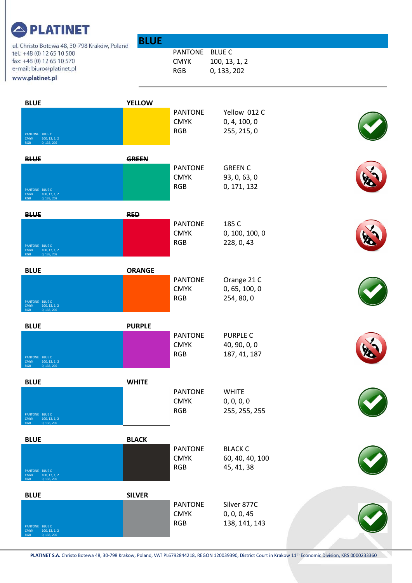| <u>.</u>                                                                                                                                                | <b>BLUE</b>   |                                             |                                                 |  |
|---------------------------------------------------------------------------------------------------------------------------------------------------------|---------------|---------------------------------------------|-------------------------------------------------|--|
| ul. Christo Botewa 48, 30-798 Kraków, Poland<br>tel.: +48 (0) 12 65 10 500<br>fax: +48 (0) 12 65 10 570<br>e-mail: biuro@platinet.pl<br>www.platinet.pl |               | <b>PANTONE</b><br><b>CMYK</b><br><b>RGB</b> | <b>BLUE C</b><br>100, 13, 1, 2<br>0, 133, 202   |  |
| <b>BLUE</b>                                                                                                                                             | <b>YELLOW</b> |                                             |                                                 |  |
| PANTONE BLUE C<br><b>CMYK</b><br>100, 13, 1, 2<br><b>RGB</b><br>0, 133, 202                                                                             |               | <b>PANTONE</b><br><b>CMYK</b><br><b>RGB</b> | Yellow 012 C<br>0, 4, 100, 0<br>255, 215, 0     |  |
| <b>BLUE</b>                                                                                                                                             | <b>GREEN</b>  |                                             |                                                 |  |
| PANTONE BLUE C<br>100, 13, 1, 2<br><b>CMYK</b><br>0, 133, 202<br><b>RGB</b>                                                                             |               | <b>PANTONE</b><br><b>CMYK</b><br><b>RGB</b> | <b>GREEN C</b><br>93, 0, 63, 0<br>0, 171, 132   |  |
| <b>BLUE</b>                                                                                                                                             | <b>RED</b>    |                                             |                                                 |  |
| PANTONE BLUE C<br>100, 13, 1, 2<br><b>CMYK</b><br>0, 133, 202<br><b>RGB</b>                                                                             |               | <b>PANTONE</b><br><b>CMYK</b><br><b>RGB</b> | 185 C<br>0, 100, 100, 0<br>228, 0, 43           |  |
| <b>BLUE</b>                                                                                                                                             | <b>ORANGE</b> |                                             |                                                 |  |
| PANTONE BLUE C<br>100, 13, 1, 2<br><b>CMYK</b><br>0, 133, 202<br><b>RGB</b>                                                                             |               | <b>PANTONE</b><br><b>CMYK</b><br><b>RGB</b> | Orange 21 C<br>0, 65, 100, 0<br>254, 80, 0      |  |
| <b>BLUE</b>                                                                                                                                             | <b>PURPLE</b> |                                             |                                                 |  |
| PANTONE BLUE C<br><b>CMYK</b><br>100, 13, 1, 2<br>0, 133, 202<br><b>RGB</b>                                                                             |               | <b>PANTONE</b><br><b>CMYK</b><br><b>RGB</b> | <b>PURPLE C</b><br>40, 90, 0, 0<br>187, 41, 187 |  |
| <b>BLUE</b>                                                                                                                                             | <b>WHITE</b>  |                                             |                                                 |  |
| PANTONE BLUE C<br><b>CMYK</b><br>100, 13, 1, 2<br>0, 133, 202<br><b>RGB</b>                                                                             |               | <b>PANTONE</b><br><b>CMYK</b><br><b>RGB</b> | <b>WHITE</b><br>0, 0, 0, 0<br>255, 255, 255     |  |
| <b>BLUE</b>                                                                                                                                             | <b>BLACK</b>  |                                             |                                                 |  |
| PANTONE BLUE C<br><b>CMYK</b><br>100, 13, 1, 2<br>0, 133, 202<br><b>RGB</b>                                                                             |               | <b>PANTONE</b><br><b>CMYK</b><br><b>RGB</b> | <b>BLACK C</b><br>60, 40, 40, 100<br>45, 41, 38 |  |
| <b>BLUE</b>                                                                                                                                             | <b>SILVER</b> |                                             |                                                 |  |
| PANTONE BLUE C<br>100, 13, 1, 2<br><b>CMYK</b><br>0, 133, 202<br><b>RGB</b>                                                                             |               | <b>PANTONE</b><br><b>CMYK</b><br><b>RGB</b> | Silver 877C<br>0, 0, 0, 45<br>138, 141, 143     |  |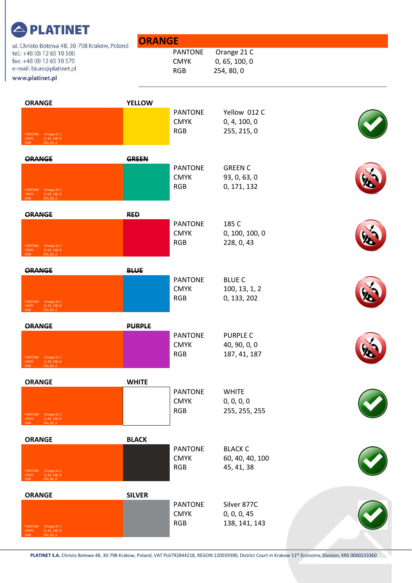| ul. Christo Botewa 48, 30-798 Kraków, Poland                                                            | <b>ORANGE</b> |                                             |                                               |           |
|---------------------------------------------------------------------------------------------------------|---------------|---------------------------------------------|-----------------------------------------------|-----------|
| tel.: +48 (0) 12 65 10 500<br>fax: +48 (0) 12 65 10 570<br>e-mail: biuro@platinet.pl<br>www.platinet.pl |               | <b>PANTONE</b><br><b>CMYK</b><br><b>RGB</b> | Orange 21 C<br>0, 65, 100, 0<br>254, 80, 0    |           |
| <b>ORANGE</b>                                                                                           | <b>YELLOW</b> | <b>PANTONE</b>                              | Yellow 012 C                                  |           |
| PANTONE Orange 21 C<br><b>CMYK</b><br>0, 65, 100, 0<br>254, 80, 0<br><b>RGB</b>                         |               | <b>CMYK</b><br><b>RGB</b>                   | 0, 4, 100, 0<br>255, 215, 0                   |           |
| <b>ORANGE</b>                                                                                           | <b>GREEN</b>  |                                             |                                               |           |
|                                                                                                         |               | <b>PANTONE</b><br><b>CMYK</b><br><b>RGB</b> | <b>GREEN C</b><br>93, 0, 63, 0<br>0, 171, 132 |           |
| PANTONE Orange 21 C<br><b>CMYK</b><br>0, 65, 100, 0<br>254, 80, 0<br><b>RGB</b>                         |               |                                             |                                               |           |
| <b>ORANGE</b>                                                                                           | <b>RED</b>    |                                             |                                               |           |
| PANTONE Orange 21 C<br>CMYK 0, 65, 100, 0<br>254, 80, 0<br><b>RGB</b>                                   |               | <b>PANTONE</b><br><b>CMYK</b><br><b>RGB</b> | 185 C<br>0, 100, 100, 0<br>228, 0, 43         |           |
| ORANGE                                                                                                  | <b>BLUE</b>   |                                             |                                               |           |
| PANTONE Orange 21 C                                                                                     |               | <b>PANTONE</b><br><b>CMYK</b><br><b>RGB</b> | <b>BLUE C</b><br>100, 13, 1, 2<br>0, 133, 202 |           |
| 0, 65, 100, 0<br><b>CMYK</b><br>254, 80, 0<br><b>RGB</b>                                                |               |                                             |                                               |           |
| <b>ORANGE</b>                                                                                           | <b>PURPLE</b> | <b>PANTONE</b>                              | <b>PURPLE C</b>                               |           |
|                                                                                                         |               | <b>CMYK</b>                                 | 40, 90, 0, 0                                  | <b>Yo</b> |
| PANTONE Orange 21 C<br>0, 65, 100, 0<br><b>CMYK</b><br>254, 80, 0<br><b>RGB</b>                         |               | <b>RGB</b>                                  | 187, 41, 187                                  |           |
| <b>ORANGE</b>                                                                                           | <b>WHITE</b>  |                                             |                                               |           |
|                                                                                                         |               | <b>PANTONE</b><br><b>CMYK</b>               | <b>WHITE</b><br>0, 0, 0, 0                    |           |
| PANTONE Orange 21 C<br>0, 65, 100, 0<br><b>CMYK</b><br><b>RGB</b><br>254, 80, 0                         |               | <b>RGB</b>                                  | 255, 255, 255                                 |           |
| <b>ORANGE</b>                                                                                           | <b>BLACK</b>  |                                             |                                               |           |
|                                                                                                         |               | <b>PANTONE</b><br><b>CMYK</b>               | <b>BLACK C</b><br>60, 40, 40, 100             |           |
| PANTONE Orange 21 C<br>0, 65, 100, 0<br><b>CMYK</b><br>254, 80, 0<br><b>RGB</b>                         |               | <b>RGB</b>                                  | 45, 41, 38                                    |           |
| <b>ORANGE</b>                                                                                           | <b>SILVER</b> |                                             |                                               |           |
|                                                                                                         |               | <b>PANTONE</b><br><b>CMYK</b>               | Silver 877C<br>0, 0, 0, 45                    |           |
| PANTONE Orange 21 C<br>0, 65, 100, 0<br><b>CMYK</b><br>254, 80, 0<br><b>RGB</b>                         |               | <b>RGB</b>                                  | 138, 141, 143                                 |           |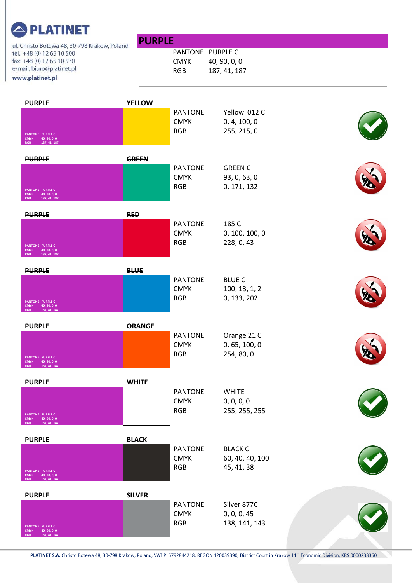| , , <b>.</b> .<br>ul. Christo Botewa 48, 30-798 Kraków, Poland                                          | <b>PURPLE</b> |                                               |                                                 |                          |
|---------------------------------------------------------------------------------------------------------|---------------|-----------------------------------------------|-------------------------------------------------|--------------------------|
| tel.: +48 (0) 12 65 10 500<br>fax: +48 (0) 12 65 10 570<br>e-mail: biuro@platinet.pl<br>www.platinet.pl |               | PANTONE PURPLE C<br><b>CMYK</b><br><b>RGB</b> | 40, 90, 0, 0<br>187, 41, 187                    |                          |
| <b>PURPLE</b>                                                                                           | <b>YELLOW</b> | <b>PANTONE</b><br><b>CMYK</b>                 | Yellow 012 C<br>0, 4, 100, 0                    |                          |
| <b>PANTONE PURPLE C</b><br>40, 90, 0, 0<br><b>CMYK</b><br>187, 41, 187<br><b>RGB</b><br><b>PURPLE</b>   | <b>GREEN</b>  | <b>RGB</b><br><b>PANTONE</b>                  | 255, 215, 0<br><b>GREEN C</b>                   |                          |
| PANTONE PURPLE C<br><b>CMYK</b><br>40, 90, 0, 0<br>187, 41, 187                                         |               | <b>CMYK</b><br><b>RGB</b>                     | 93, 0, 63, 0<br>0, 171, 132                     |                          |
| <b>PURPLE</b><br><b>PANTONE PURPLE C</b><br>40, 90, 0, 0<br><b>CMYK</b><br>187, 41, 187<br><b>RGB</b>   | <b>RED</b>    | <b>PANTONE</b><br><b>CMYK</b><br><b>RGB</b>   | 185 C<br>0, 100, 100, 0<br>228, 0, 43           |                          |
| <b>PURPLE</b><br>PANTONE PURPLE C<br>40, 90, 0, 0<br><b>CMYK</b><br>187, 41, 187<br><b>RGB</b>          | <b>BLUE</b>   | <b>PANTONE</b><br><b>CMYK</b><br><b>RGB</b>   | <b>BLUE C</b><br>100, 13, 1, 2<br>0, 133, 202   |                          |
| <b>PURPLE</b><br>PANTONE PURPLE C<br>40, 90, 0, 0<br><b>CMYK</b><br>187, 41, 187<br><b>RGB</b>          | <b>ORANGE</b> | <b>PANTONE</b><br><b>CMYK</b><br><b>RGB</b>   | Orange 21 C<br>0, 65, 100, 0<br>254, 80, 0      | $\overline{\phantom{a}}$ |
| <b>PURPLE</b><br><b>PANTONE PURPLE C</b><br>40, 90, 0, 0<br><b>CMYK</b><br>187, 41, 187<br><b>RGB</b>   | <b>WHITE</b>  | <b>PANTONE</b><br><b>CMYK</b><br><b>RGB</b>   | <b>WHITE</b><br>0, 0, 0, 0<br>255, 255, 255     |                          |
| <b>PURPLE</b><br><b>PANTONE PURPLE C</b><br>40, 90, 0, 0<br><b>CMYK</b><br>187, 41, 187<br><b>RGB</b>   | <b>BLACK</b>  | <b>PANTONE</b><br><b>CMYK</b><br><b>RGB</b>   | <b>BLACK C</b><br>60, 40, 40, 100<br>45, 41, 38 |                          |
| <b>PURPLE</b><br><b>PANTONE PURPLE C</b><br><b>CMYK</b><br>40, 90, 0, 0<br>187, 41, 187<br><b>RGB</b>   | <b>SILVER</b> | <b>PANTONE</b><br><b>CMYK</b><br><b>RGB</b>   | Silver 877C<br>0, 0, 0, 45<br>138, 141, 143     |                          |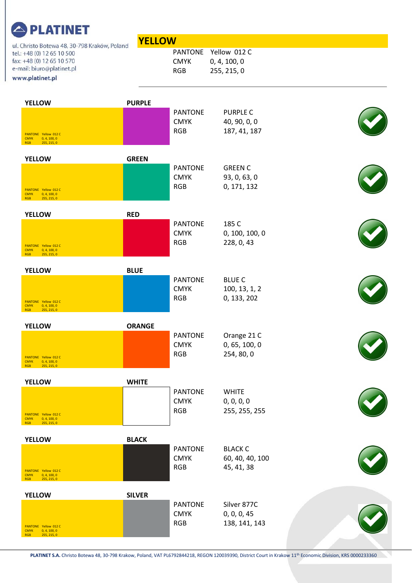| ul. Christo Botewa 48, 30-798 Kraków, Poland                                                            | <b>YELLOW</b> |                                             |                                                     |  |
|---------------------------------------------------------------------------------------------------------|---------------|---------------------------------------------|-----------------------------------------------------|--|
| tel.: +48 (0) 12 65 10 500<br>fax: +48 (0) 12 65 10 570<br>e-mail: biuro@platinet.pl<br>www.platinet.pl |               | <b>CMYK</b><br><b>RGB</b>                   | PANTONE Yellow 012 C<br>0, 4, 100, 0<br>255, 215, 0 |  |
| <b>YELLOW</b><br>PANTONE Yellow 012 C<br><b>CMYK</b><br>0, 4, 100, 0<br><b>RGB</b><br>255, 215, 0       | <b>PURPLE</b> | <b>PANTONE</b><br><b>CMYK</b><br><b>RGB</b> | <b>PURPLE C</b><br>40, 90, 0, 0<br>187, 41, 187     |  |
| <b>YELLOW</b><br>PANTONE Yellow 012 C<br><b>CMYK</b><br>0, 4, 100, 0<br>255, 215, 0<br><b>RGB</b>       | <b>GREEN</b>  | <b>PANTONE</b><br><b>CMYK</b><br><b>RGB</b> | <b>GREEN C</b><br>93, 0, 63, 0<br>0, 171, 132       |  |
| <b>YELLOW</b><br>PANTONE Yellow 012 C<br>0, 4, 100, 0<br><b>CMYK</b><br>255, 215, 0<br><b>RGB</b>       | <b>RED</b>    | <b>PANTONE</b><br><b>CMYK</b><br><b>RGB</b> | 185 C<br>0, 100, 100, 0<br>228, 0, 43               |  |
| <b>YELLOW</b><br>PANTONE Yellow 012 C<br><b>CMYK</b><br>0, 4, 100, 0<br>255, 215, 0<br><b>RGB</b>       | <b>BLUE</b>   | <b>PANTONE</b><br><b>CMYK</b><br><b>RGB</b> | <b>BLUE C</b><br>100, 13, 1, 2<br>0, 133, 202       |  |
| <b>YELLOW</b><br>PANTONE Yellow 012 C<br><b>CMYK</b><br>0, 4, 100, 0<br>255, 215, 0<br><b>RGB</b>       | <b>ORANGE</b> | <b>PANTONE</b><br><b>CMYK</b><br><b>RGB</b> | Orange 21 C<br>0, 65, 100, 0<br>254, 80, 0          |  |
| <b>YELLOW</b><br>PANTONE Yellow 012 C<br><b>CMYK</b><br>0, 4, 100, 0<br><b>RGB</b><br>255, 215, 0       | <b>WHITE</b>  | <b>PANTONE</b><br><b>CMYK</b><br><b>RGB</b> | <b>WHITE</b><br>0, 0, 0, 0<br>255, 255, 255         |  |
| <b>YELLOW</b><br>PANTONE Yellow 012 C<br><b>CMYK</b><br>0, 4, 100, 0<br>255, 215, 0<br><b>RGB</b>       | <b>BLACK</b>  | <b>PANTONE</b><br><b>CMYK</b><br>RGB        | <b>BLACK C</b><br>60, 40, 40, 100<br>45, 41, 38     |  |
| <b>YELLOW</b><br>PANTONE Yellow 012 C<br>0, 4, 100, 0<br><b>CMYK</b><br><b>RGB</b><br>255, 215, 0       | <b>SILVER</b> | <b>PANTONE</b><br><b>CMYK</b><br><b>RGB</b> | Silver 877C<br>0, 0, 0, 45<br>138, 141, 143         |  |